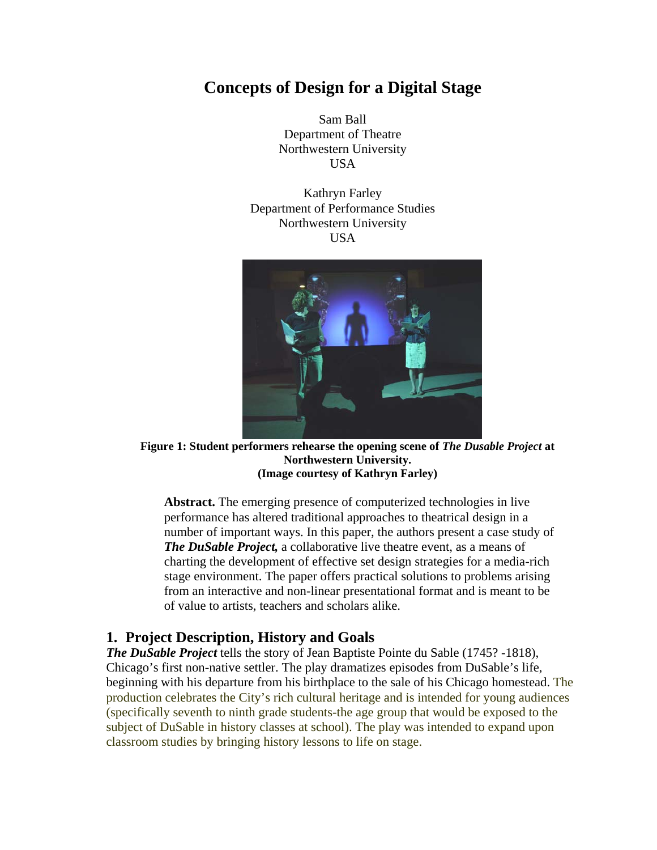# **Concepts of Design for a Digital Stage**

Sam Ball Department of Theatre Northwestern University USA

Kathryn Farley Department of Performance Studies Northwestern University USA



**Figure 1: Student performers rehearse the opening scene of** *The Dusable Project* **at Northwestern University. (Image courtesy of Kathryn Farley)** 

**Abstract.** The emerging presence of computerized technologies in live performance has altered traditional approaches to theatrical design in a number of important ways. In this paper, the authors present a case study of *The DuSable Project,* a collaborative live theatre event, as a means of charting the development of effective set design strategies for a media-rich stage environment. The paper offers practical solutions to problems arising from an interactive and non-linear presentational format and is meant to be of value to artists, teachers and scholars alike.

### **1. Project Description, History and Goals**

*The DuSable Project* tells the story of Jean Baptiste Pointe du Sable (1745? -1818), Chicago's first non-native settler. The play dramatizes episodes from DuSable's life, beginning with his departure from his birthplace to the sale of his Chicago homestead. The production celebrates the City's rich cultural heritage and is intended for young audiences (specifically seventh to ninth grade students-the age group that would be exposed to the subject of DuSable in history classes at school). The play was intended to expand upon classroom studies by bringing history lessons to life on stage.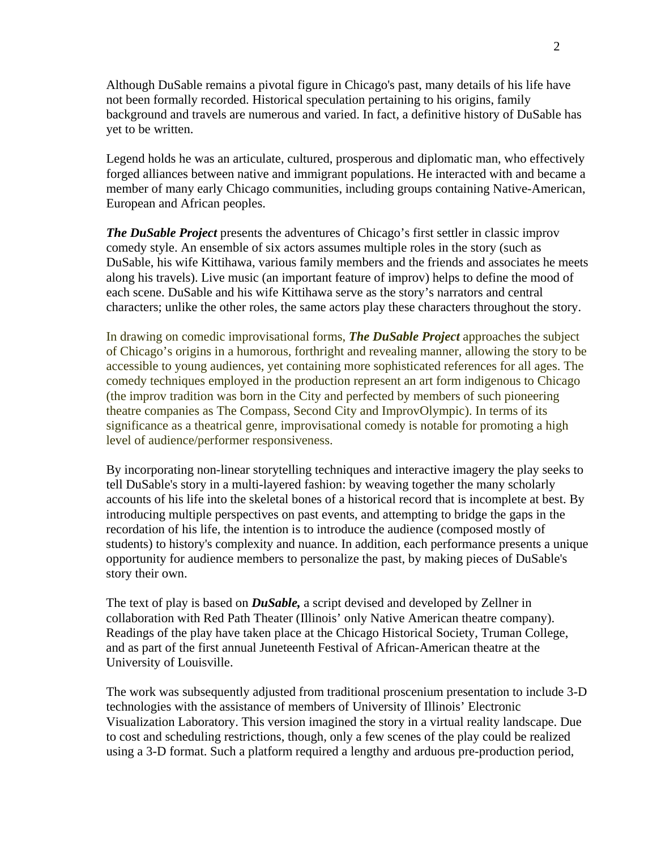Although DuSable remains a pivotal figure in Chicago's past, many details of his life have not been formally recorded. Historical speculation pertaining to his origins, family background and travels are numerous and varied. In fact, a definitive history of DuSable has yet to be written.

Legend holds he was an articulate, cultured, prosperous and diplomatic man, who effectively forged alliances between native and immigrant populations. He interacted with and became a member of many early Chicago communities, including groups containing Native-American, European and African peoples.

*The DuSable Project* presents the adventures of Chicago's first settler in classic improv comedy style. An ensemble of six actors assumes multiple roles in the story (such as DuSable, his wife Kittihawa, various family members and the friends and associates he meets along his travels). Live music (an important feature of improv) helps to define the mood of each scene. DuSable and his wife Kittihawa serve as the story's narrators and central characters; unlike the other roles, the same actors play these characters throughout the story.

In drawing on comedic improvisational forms, *The DuSable Project* approaches the subject of Chicago's origins in a humorous, forthright and revealing manner, allowing the story to be accessible to young audiences, yet containing more sophisticated references for all ages. The comedy techniques employed in the production represent an art form indigenous to Chicago (the improv tradition was born in the City and perfected by members of such pioneering theatre companies as The Compass, Second City and ImprovOlympic). In terms of its significance as a theatrical genre, improvisational comedy is notable for promoting a high level of audience/performer responsiveness.

By incorporating non-linear storytelling techniques and interactive imagery the play seeks to tell DuSable's story in a multi-layered fashion: by weaving together the many scholarly accounts of his life into the skeletal bones of a historical record that is incomplete at best. By introducing multiple perspectives on past events, and attempting to bridge the gaps in the recordation of his life, the intention is to introduce the audience (composed mostly of students) to history's complexity and nuance. In addition, each performance presents a unique opportunity for audience members to personalize the past, by making pieces of DuSable's story their own.

The text of play is based on *DuSable,* a script devised and developed by Zellner in collaboration with Red Path Theater (Illinois' only Native American theatre company). Readings of the play have taken place at the Chicago Historical Society, Truman College, and as part of the first annual Juneteenth Festival of African-American theatre at the University of Louisville.

The work was subsequently adjusted from traditional proscenium presentation to include 3-D technologies with the assistance of members of University of Illinois' Electronic Visualization Laboratory. This version imagined the story in a virtual reality landscape. Due to cost and scheduling restrictions, though, only a few scenes of the play could be realized using a 3-D format. Such a platform required a lengthy and arduous pre-production period,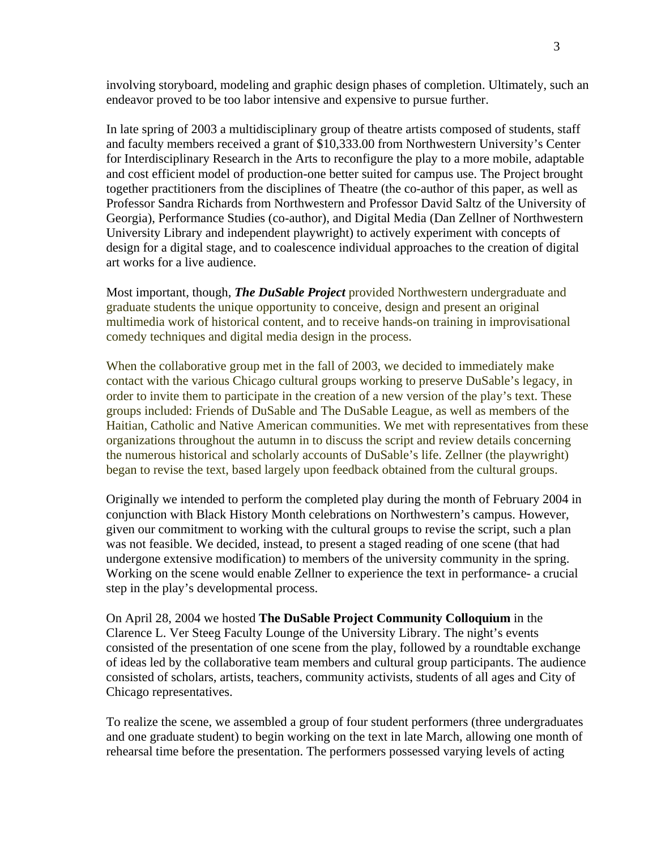involving storyboard, modeling and graphic design phases of completion. Ultimately, such an endeavor proved to be too labor intensive and expensive to pursue further.

In late spring of 2003 a multidisciplinary group of theatre artists composed of students, staff and faculty members received a grant of \$10,333.00 from Northwestern University's Center for Interdisciplinary Research in the Arts to reconfigure the play to a more mobile, adaptable and cost efficient model of production-one better suited for campus use. The Project brought together practitioners from the disciplines of Theatre (the co-author of this paper, as well as Professor Sandra Richards from Northwestern and Professor David Saltz of the University of Georgia), Performance Studies (co-author), and Digital Media (Dan Zellner of Northwestern University Library and independent playwright) to actively experiment with concepts of design for a digital stage, and to coalescence individual approaches to the creation of digital art works for a live audience.

Most important, though, *The DuSable Project* provided Northwestern undergraduate and graduate students the unique opportunity to conceive, design and present an original multimedia work of historical content, and to receive hands-on training in improvisational comedy techniques and digital media design in the process.

When the collaborative group met in the fall of 2003, we decided to immediately make contact with the various Chicago cultural groups working to preserve DuSable's legacy, in order to invite them to participate in the creation of a new version of the play's text. These groups included: Friends of DuSable and The DuSable League, as well as members of the Haitian, Catholic and Native American communities. We met with representatives from these organizations throughout the autumn in to discuss the script and review details concerning the numerous historical and scholarly accounts of DuSable's life. Zellner (the playwright) began to revise the text, based largely upon feedback obtained from the cultural groups.

Originally we intended to perform the completed play during the month of February 2004 in conjunction with Black History Month celebrations on Northwestern's campus. However, given our commitment to working with the cultural groups to revise the script, such a plan was not feasible. We decided, instead, to present a staged reading of one scene (that had undergone extensive modification) to members of the university community in the spring. Working on the scene would enable Zellner to experience the text in performance- a crucial step in the play's developmental process.

On April 28, 2004 we hosted **The DuSable Project Community Colloquium** in the Clarence L. Ver Steeg Faculty Lounge of the University Library. The night's events consisted of the presentation of one scene from the play, followed by a roundtable exchange of ideas led by the collaborative team members and cultural group participants. The audience consisted of scholars, artists, teachers, community activists, students of all ages and City of Chicago representatives.

To realize the scene, we assembled a group of four student performers (three undergraduates and one graduate student) to begin working on the text in late March, allowing one month of rehearsal time before the presentation. The performers possessed varying levels of acting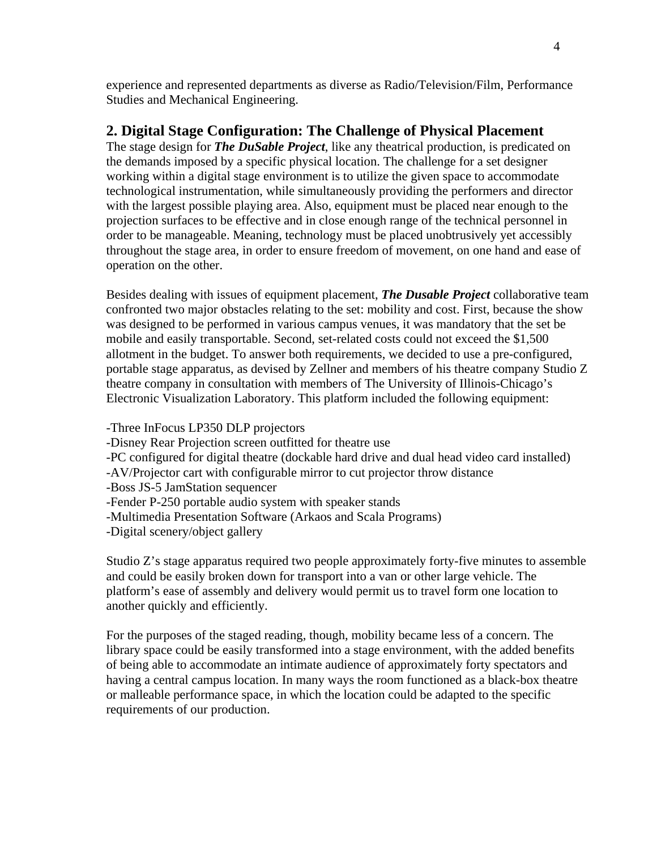experience and represented departments as diverse as Radio/Television/Film, Performance Studies and Mechanical Engineering.

## **2. Digital Stage Configuration: The Challenge of Physical Placement**

The stage design for *The DuSable Project*, like any theatrical production, is predicated on the demands imposed by a specific physical location. The challenge for a set designer working within a digital stage environment is to utilize the given space to accommodate technological instrumentation, while simultaneously providing the performers and director with the largest possible playing area. Also, equipment must be placed near enough to the projection surfaces to be effective and in close enough range of the technical personnel in order to be manageable. Meaning, technology must be placed unobtrusively yet accessibly throughout the stage area, in order to ensure freedom of movement, on one hand and ease of operation on the other.

Besides dealing with issues of equipment placement, *The Dusable Project* collaborative team confronted two major obstacles relating to the set: mobility and cost. First, because the show was designed to be performed in various campus venues, it was mandatory that the set be mobile and easily transportable. Second, set-related costs could not exceed the \$1,500 allotment in the budget. To answer both requirements, we decided to use a pre-configured, portable stage apparatus, as devised by Zellner and members of his theatre company Studio Z theatre company in consultation with members of The University of Illinois-Chicago's Electronic Visualization Laboratory. This platform included the following equipment:

- -Three InFocus LP350 DLP projectors
- -Disney Rear Projection screen outfitted for theatre use
- -PC configured for digital theatre (dockable hard drive and dual head video card installed)
- -AV/Projector cart with configurable mirror to cut projector throw distance
- -Boss JS-5 JamStation sequencer
- -Fender P-250 portable audio system with speaker stands
- -Multimedia Presentation Software (Arkaos and Scala Programs)
- -Digital scenery/object gallery

Studio Z's stage apparatus required two people approximately forty-five minutes to assemble and could be easily broken down for transport into a van or other large vehicle. The platform's ease of assembly and delivery would permit us to travel form one location to another quickly and efficiently.

For the purposes of the staged reading, though, mobility became less of a concern. The library space could be easily transformed into a stage environment, with the added benefits of being able to accommodate an intimate audience of approximately forty spectators and having a central campus location. In many ways the room functioned as a black-box theatre or malleable performance space, in which the location could be adapted to the specific requirements of our production.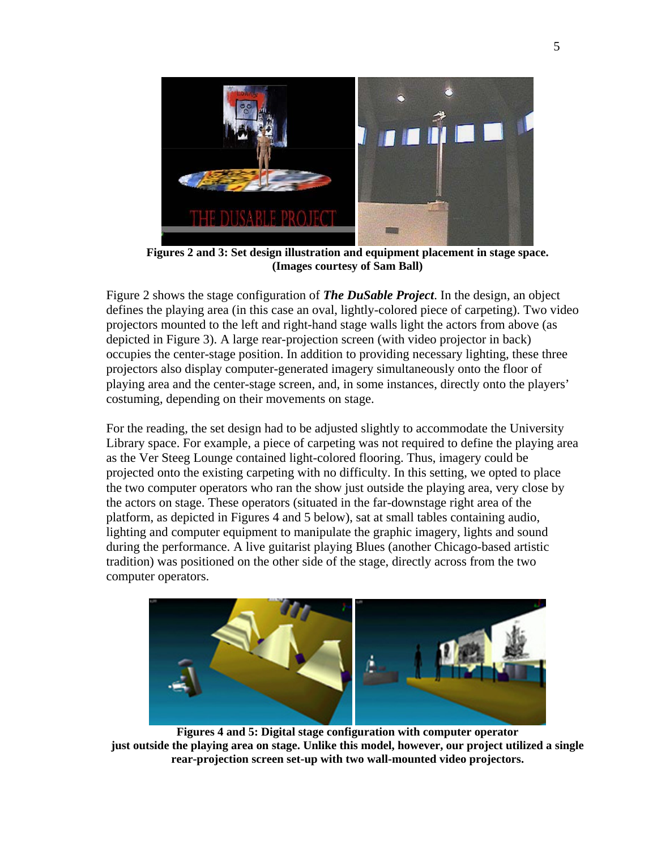

**Figures 2 and 3: Set design illustration and equipment placement in stage space. (Images courtesy of Sam Ball)** 

Figure 2 shows the stage configuration of *The DuSable Project*. In the design, an object defines the playing area (in this case an oval, lightly-colored piece of carpeting). Two video projectors mounted to the left and right-hand stage walls light the actors from above (as depicted in Figure 3). A large rear-projection screen (with video projector in back) occupies the center-stage position. In addition to providing necessary lighting, these three projectors also display computer-generated imagery simultaneously onto the floor of playing area and the center-stage screen, and, in some instances, directly onto the players' costuming, depending on their movements on stage.

For the reading, the set design had to be adjusted slightly to accommodate the University Library space. For example, a piece of carpeting was not required to define the playing area as the Ver Steeg Lounge contained light-colored flooring. Thus, imagery could be projected onto the existing carpeting with no difficulty. In this setting, we opted to place the two computer operators who ran the show just outside the playing area, very close by the actors on stage. These operators (situated in the far-downstage right area of the platform, as depicted in Figures 4 and 5 below), sat at small tables containing audio, lighting and computer equipment to manipulate the graphic imagery, lights and sound during the performance. A live guitarist playing Blues (another Chicago-based artistic tradition) was positioned on the other side of the stage, directly across from the two computer operators.



**Figures 4 and 5: Digital stage configuration with computer operator just outside the playing area on stage. Unlike this model, however, our project utilized a single rear-projection screen set-up with two wall-mounted video projectors.**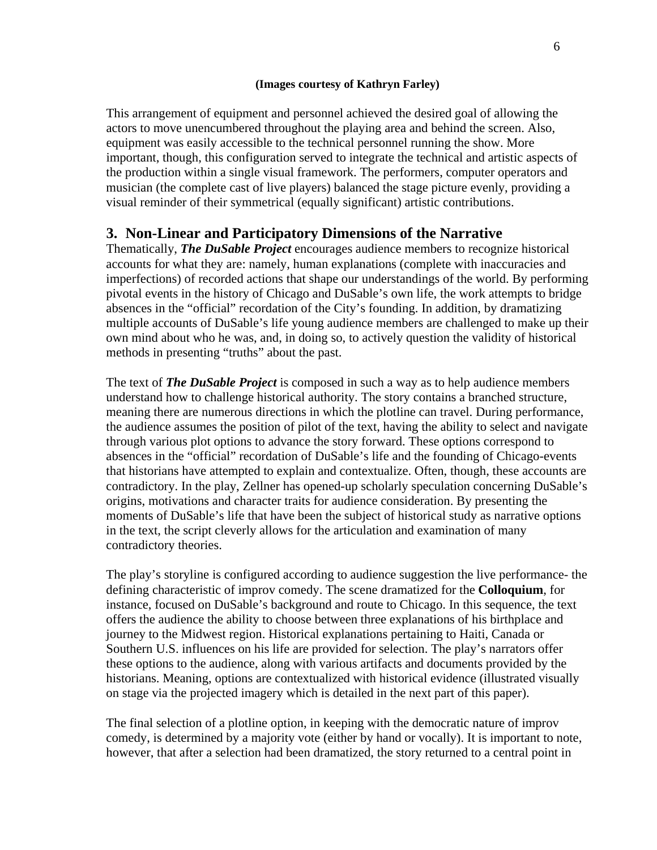#### **(Images courtesy of Kathryn Farley)**

This arrangement of equipment and personnel achieved the desired goal of allowing the actors to move unencumbered throughout the playing area and behind the screen. Also, equipment was easily accessible to the technical personnel running the show. More important, though, this configuration served to integrate the technical and artistic aspects of the production within a single visual framework. The performers, computer operators and musician (the complete cast of live players) balanced the stage picture evenly, providing a visual reminder of their symmetrical (equally significant) artistic contributions.

## **3. Non-Linear and Participatory Dimensions of the Narrative**

Thematically, *The DuSable Project* encourages audience members to recognize historical accounts for what they are: namely, human explanations (complete with inaccuracies and imperfections) of recorded actions that shape our understandings of the world. By performing pivotal events in the history of Chicago and DuSable's own life, the work attempts to bridge absences in the "official" recordation of the City's founding. In addition, by dramatizing multiple accounts of DuSable's life young audience members are challenged to make up their own mind about who he was, and, in doing so, to actively question the validity of historical methods in presenting "truths" about the past.

The text of *The DuSable Project* is composed in such a way as to help audience members understand how to challenge historical authority. The story contains a branched structure, meaning there are numerous directions in which the plotline can travel. During performance, the audience assumes the position of pilot of the text, having the ability to select and navigate through various plot options to advance the story forward. These options correspond to absences in the "official" recordation of DuSable's life and the founding of Chicago-events that historians have attempted to explain and contextualize. Often, though, these accounts are contradictory. In the play, Zellner has opened-up scholarly speculation concerning DuSable's origins, motivations and character traits for audience consideration. By presenting the moments of DuSable's life that have been the subject of historical study as narrative options in the text, the script cleverly allows for the articulation and examination of many contradictory theories.

The play's storyline is configured according to audience suggestion the live performance- the defining characteristic of improv comedy. The scene dramatized for the **Colloquium**, for instance, focused on DuSable's background and route to Chicago. In this sequence, the text offers the audience the ability to choose between three explanations of his birthplace and journey to the Midwest region. Historical explanations pertaining to Haiti, Canada or Southern U.S. influences on his life are provided for selection. The play's narrators offer these options to the audience, along with various artifacts and documents provided by the historians. Meaning, options are contextualized with historical evidence (illustrated visually on stage via the projected imagery which is detailed in the next part of this paper).

The final selection of a plotline option, in keeping with the democratic nature of improv comedy, is determined by a majority vote (either by hand or vocally). It is important to note, however, that after a selection had been dramatized, the story returned to a central point in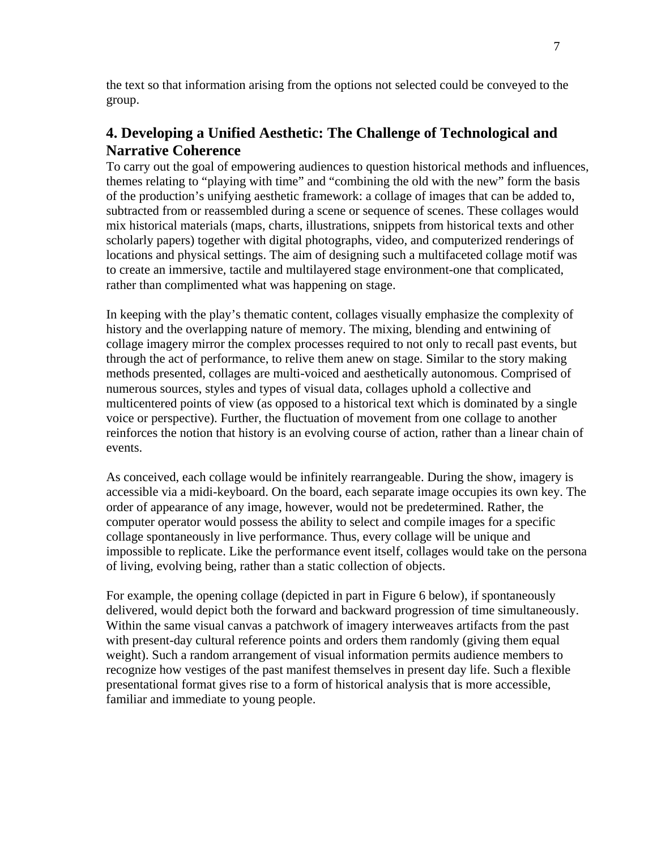the text so that information arising from the options not selected could be conveyed to the group.

## **4. Developing a Unified Aesthetic: The Challenge of Technological and Narrative Coherence**

To carry out the goal of empowering audiences to question historical methods and influences, themes relating to "playing with time" and "combining the old with the new" form the basis of the production's unifying aesthetic framework: a collage of images that can be added to, subtracted from or reassembled during a scene or sequence of scenes. These collages would mix historical materials (maps, charts, illustrations, snippets from historical texts and other scholarly papers) together with digital photographs, video, and computerized renderings of locations and physical settings. The aim of designing such a multifaceted collage motif was to create an immersive, tactile and multilayered stage environment-one that complicated, rather than complimented what was happening on stage.

In keeping with the play's thematic content, collages visually emphasize the complexity of history and the overlapping nature of memory. The mixing, blending and entwining of collage imagery mirror the complex processes required to not only to recall past events, but through the act of performance, to relive them anew on stage. Similar to the story making methods presented, collages are multi-voiced and aesthetically autonomous. Comprised of numerous sources, styles and types of visual data, collages uphold a collective and multicentered points of view (as opposed to a historical text which is dominated by a single voice or perspective). Further, the fluctuation of movement from one collage to another reinforces the notion that history is an evolving course of action, rather than a linear chain of events.

As conceived, each collage would be infinitely rearrangeable. During the show, imagery is accessible via a midi-keyboard. On the board, each separate image occupies its own key. The order of appearance of any image, however, would not be predetermined. Rather, the computer operator would possess the ability to select and compile images for a specific collage spontaneously in live performance. Thus, every collage will be unique and impossible to replicate. Like the performance event itself, collages would take on the persona of living, evolving being, rather than a static collection of objects.

For example, the opening collage (depicted in part in Figure 6 below), if spontaneously delivered, would depict both the forward and backward progression of time simultaneously. Within the same visual canvas a patchwork of imagery interweaves artifacts from the past with present-day cultural reference points and orders them randomly (giving them equal weight). Such a random arrangement of visual information permits audience members to recognize how vestiges of the past manifest themselves in present day life. Such a flexible presentational format gives rise to a form of historical analysis that is more accessible, familiar and immediate to young people.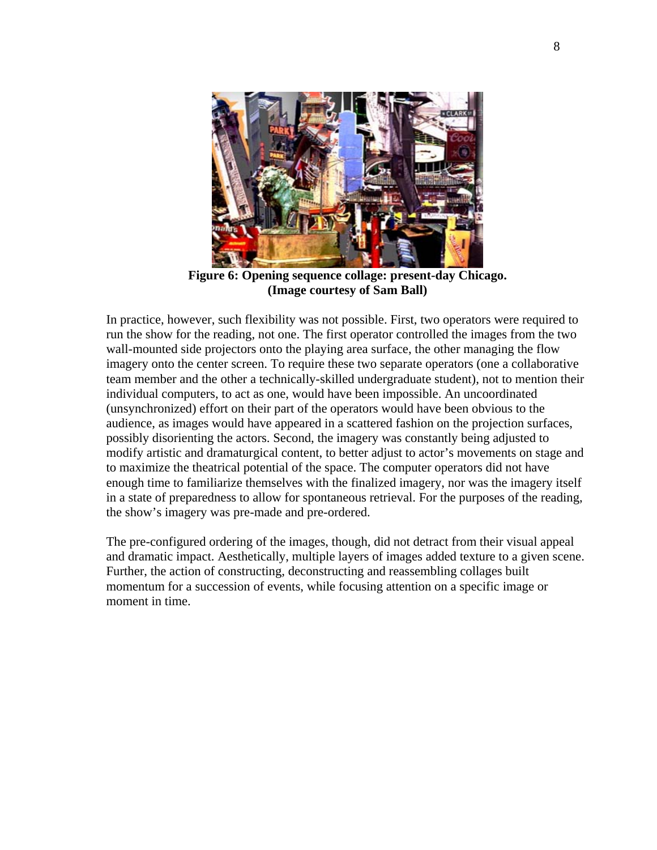

**Figure 6: Opening sequence collage: present-day Chicago. (Image courtesy of Sam Ball)**

In practice, however, such flexibility was not possible. First, two operators were required to run the show for the reading, not one. The first operator controlled the images from the two wall-mounted side projectors onto the playing area surface, the other managing the flow imagery onto the center screen. To require these two separate operators (one a collaborative team member and the other a technically-skilled undergraduate student), not to mention their individual computers, to act as one, would have been impossible. An uncoordinated (unsynchronized) effort on their part of the operators would have been obvious to the audience, as images would have appeared in a scattered fashion on the projection surfaces, possibly disorienting the actors. Second, the imagery was constantly being adjusted to modify artistic and dramaturgical content, to better adjust to actor's movements on stage and to maximize the theatrical potential of the space. The computer operators did not have enough time to familiarize themselves with the finalized imagery, nor was the imagery itself in a state of preparedness to allow for spontaneous retrieval. For the purposes of the reading, the show's imagery was pre-made and pre-ordered.

The pre-configured ordering of the images, though, did not detract from their visual appeal and dramatic impact. Aesthetically, multiple layers of images added texture to a given scene. Further, the action of constructing, deconstructing and reassembling collages built momentum for a succession of events, while focusing attention on a specific image or moment in time.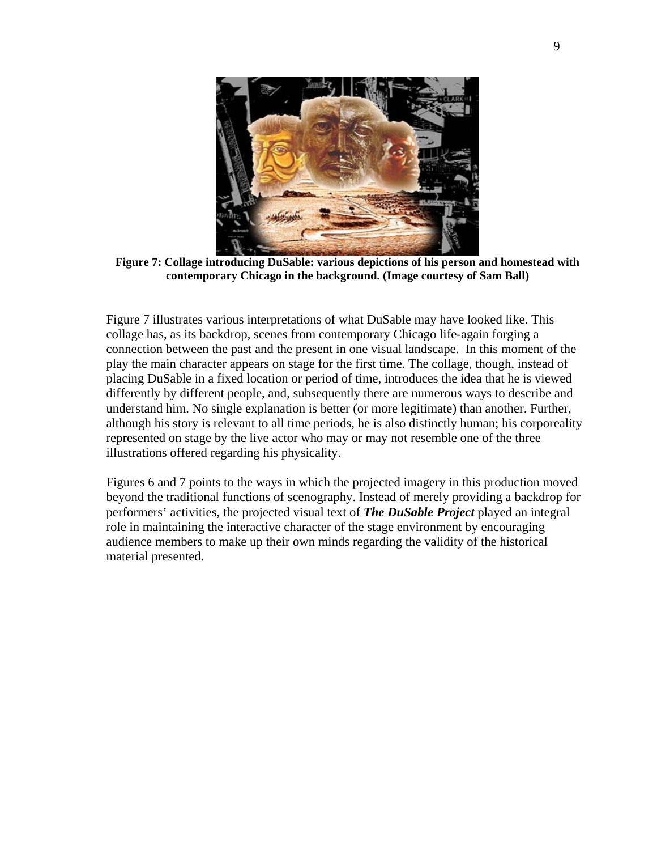

**Figure 7: Collage introducing DuSable: various depictions of his person and homestead with contemporary Chicago in the background. (Image courtesy of Sam Ball)** 

Figure 7 illustrates various interpretations of what DuSable may have looked like. This collage has, as its backdrop, scenes from contemporary Chicago life-again forging a connection between the past and the present in one visual landscape. In this moment of the play the main character appears on stage for the first time. The collage, though, instead of placing DuSable in a fixed location or period of time, introduces the idea that he is viewed differently by different people, and, subsequently there are numerous ways to describe and understand him. No single explanation is better (or more legitimate) than another. Further, although his story is relevant to all time periods, he is also distinctly human; his corporeality represented on stage by the live actor who may or may not resemble one of the three illustrations offered regarding his physicality.

Figures 6 and 7 points to the ways in which the projected imagery in this production moved beyond the traditional functions of scenography. Instead of merely providing a backdrop for performers' activities, the projected visual text of *The DuSable Project* played an integral role in maintaining the interactive character of the stage environment by encouraging audience members to make up their own minds regarding the validity of the historical material presented.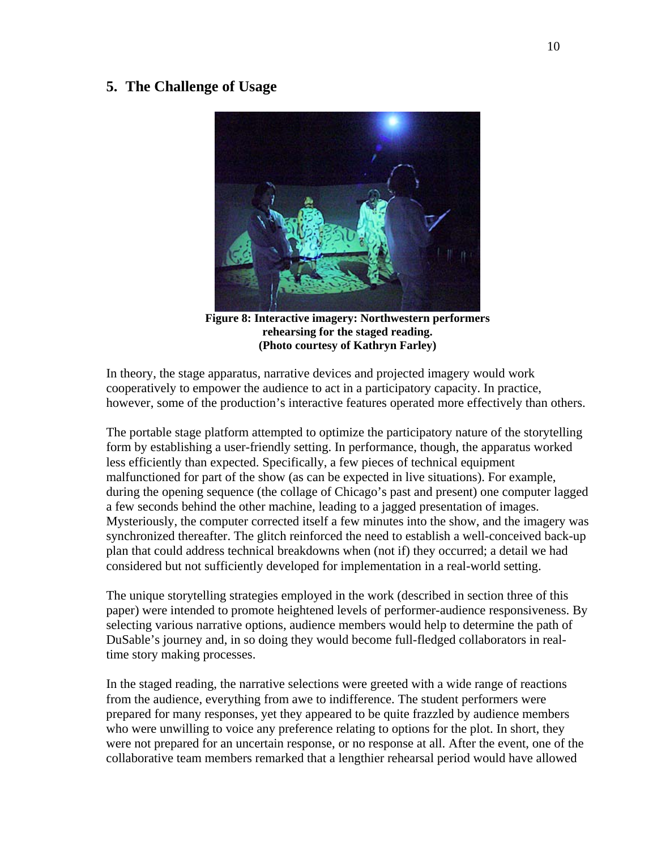## **5. The Challenge of Usage**



**Figure 8: Interactive imagery: Northwestern performers rehearsing for the staged reading. (Photo courtesy of Kathryn Farley)** 

In theory, the stage apparatus, narrative devices and projected imagery would work cooperatively to empower the audience to act in a participatory capacity. In practice, however, some of the production's interactive features operated more effectively than others.

The portable stage platform attempted to optimize the participatory nature of the storytelling form by establishing a user-friendly setting. In performance, though, the apparatus worked less efficiently than expected. Specifically, a few pieces of technical equipment malfunctioned for part of the show (as can be expected in live situations). For example, during the opening sequence (the collage of Chicago's past and present) one computer lagged a few seconds behind the other machine, leading to a jagged presentation of images. Mysteriously, the computer corrected itself a few minutes into the show, and the imagery was synchronized thereafter. The glitch reinforced the need to establish a well-conceived back-up plan that could address technical breakdowns when (not if) they occurred; a detail we had considered but not sufficiently developed for implementation in a real-world setting.

The unique storytelling strategies employed in the work (described in section three of this paper) were intended to promote heightened levels of performer-audience responsiveness. By selecting various narrative options, audience members would help to determine the path of DuSable's journey and, in so doing they would become full-fledged collaborators in realtime story making processes.

In the staged reading, the narrative selections were greeted with a wide range of reactions from the audience, everything from awe to indifference. The student performers were prepared for many responses, yet they appeared to be quite frazzled by audience members who were unwilling to voice any preference relating to options for the plot. In short, they were not prepared for an uncertain response, or no response at all. After the event, one of the collaborative team members remarked that a lengthier rehearsal period would have allowed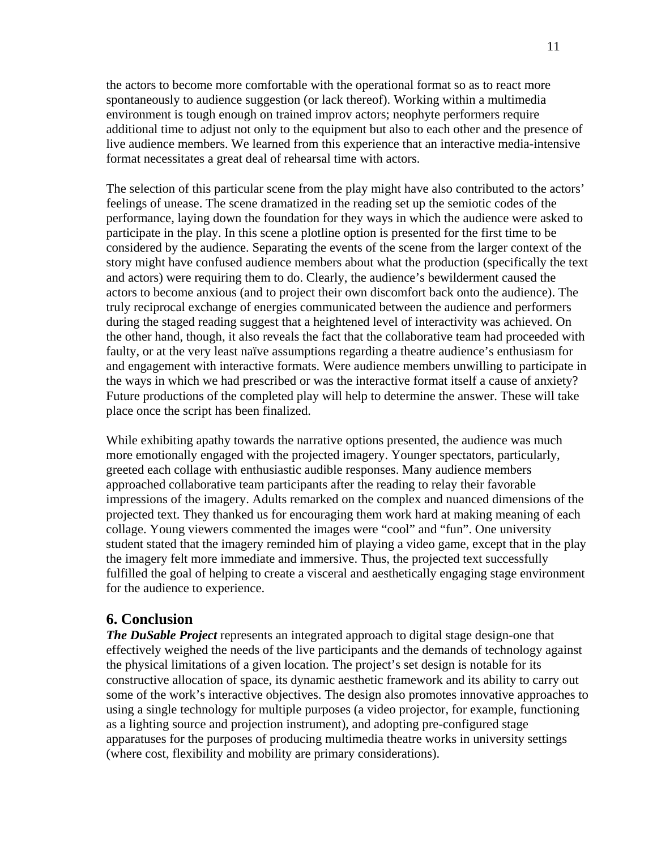the actors to become more comfortable with the operational format so as to react more spontaneously to audience suggestion (or lack thereof). Working within a multimedia environment is tough enough on trained improv actors; neophyte performers require additional time to adjust not only to the equipment but also to each other and the presence of live audience members. We learned from this experience that an interactive media-intensive format necessitates a great deal of rehearsal time with actors.

The selection of this particular scene from the play might have also contributed to the actors' feelings of unease. The scene dramatized in the reading set up the semiotic codes of the performance, laying down the foundation for they ways in which the audience were asked to participate in the play. In this scene a plotline option is presented for the first time to be considered by the audience. Separating the events of the scene from the larger context of the story might have confused audience members about what the production (specifically the text and actors) were requiring them to do. Clearly, the audience's bewilderment caused the actors to become anxious (and to project their own discomfort back onto the audience). The truly reciprocal exchange of energies communicated between the audience and performers during the staged reading suggest that a heightened level of interactivity was achieved. On the other hand, though, it also reveals the fact that the collaborative team had proceeded with faulty, or at the very least naïve assumptions regarding a theatre audience's enthusiasm for and engagement with interactive formats. Were audience members unwilling to participate in the ways in which we had prescribed or was the interactive format itself a cause of anxiety? Future productions of the completed play will help to determine the answer. These will take place once the script has been finalized.

While exhibiting apathy towards the narrative options presented, the audience was much more emotionally engaged with the projected imagery. Younger spectators, particularly, greeted each collage with enthusiastic audible responses. Many audience members approached collaborative team participants after the reading to relay their favorable impressions of the imagery. Adults remarked on the complex and nuanced dimensions of the projected text. They thanked us for encouraging them work hard at making meaning of each collage. Young viewers commented the images were "cool" and "fun". One university student stated that the imagery reminded him of playing a video game, except that in the play the imagery felt more immediate and immersive. Thus, the projected text successfully fulfilled the goal of helping to create a visceral and aesthetically engaging stage environment for the audience to experience.

### **6. Conclusion**

*The DuSable Project* represents an integrated approach to digital stage design-one that effectively weighed the needs of the live participants and the demands of technology against the physical limitations of a given location. The project's set design is notable for its constructive allocation of space, its dynamic aesthetic framework and its ability to carry out some of the work's interactive objectives. The design also promotes innovative approaches to using a single technology for multiple purposes (a video projector, for example, functioning as a lighting source and projection instrument), and adopting pre-configured stage apparatuses for the purposes of producing multimedia theatre works in university settings (where cost, flexibility and mobility are primary considerations).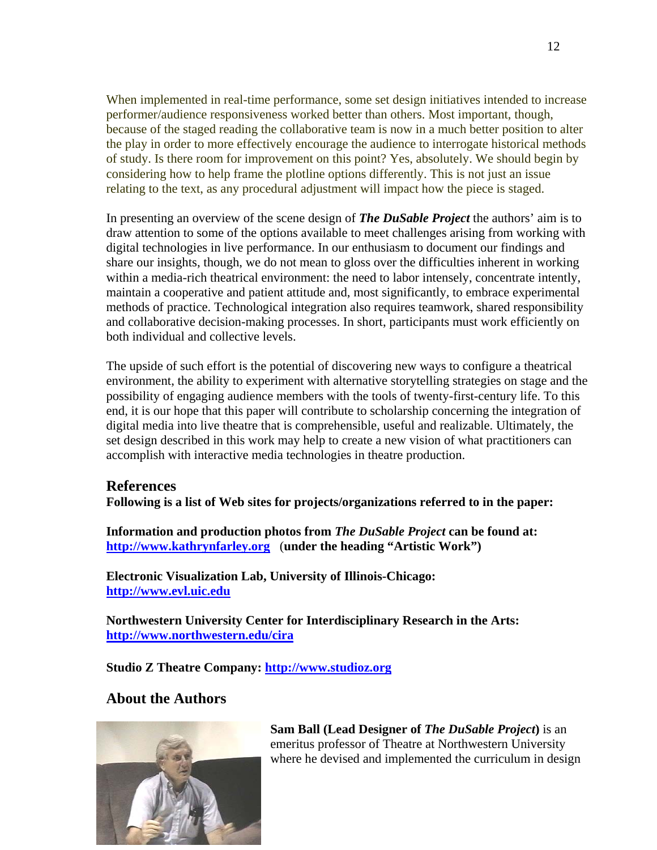When implemented in real-time performance, some set design initiatives intended to increase performer/audience responsiveness worked better than others. Most important, though, because of the staged reading the collaborative team is now in a much better position to alter the play in order to more effectively encourage the audience to interrogate historical methods of study. Is there room for improvement on this point? Yes, absolutely. We should begin by considering how to help frame the plotline options differently. This is not just an issue relating to the text, as any procedural adjustment will impact how the piece is staged.

In presenting an overview of the scene design of *The DuSable Project* the authors' aim is to draw attention to some of the options available to meet challenges arising from working with digital technologies in live performance. In our enthusiasm to document our findings and share our insights, though, we do not mean to gloss over the difficulties inherent in working within a media-rich theatrical environment: the need to labor intensely, concentrate intently, maintain a cooperative and patient attitude and, most significantly, to embrace experimental methods of practice. Technological integration also requires teamwork, shared responsibility and collaborative decision-making processes. In short, participants must work efficiently on both individual and collective levels.

The upside of such effort is the potential of discovering new ways to configure a theatrical environment, the ability to experiment with alternative storytelling strategies on stage and the possibility of engaging audience members with the tools of twenty-first-century life. To this end, it is our hope that this paper will contribute to scholarship concerning the integration of digital media into live theatre that is comprehensible, useful and realizable. Ultimately, the set design described in this work may help to create a new vision of what practitioners can accomplish with interactive media technologies in theatre production.

### **References**

**Following is a list of Web sites for projects/organizations referred to in the paper:** 

**Information and production photos from** *The DuSable Project* **can be found at: http://www.kathrynfarley.org** (**under the heading "Artistic Work")** 

**Electronic Visualization Lab, University of Illinois-Chicago: http://www.evl.uic.edu**

**Northwestern University Center for Interdisciplinary Research in the Arts: http://www.northwestern.edu/cira** 

**Studio Z Theatre Company: [http://www.studioz.org](http://www.studioz.org/)** 

## **About the Authors**



**Sam Ball (Lead Designer of** *The DuSable Project***)** is an emeritus professor of Theatre at Northwestern University where he devised and implemented the curriculum in design